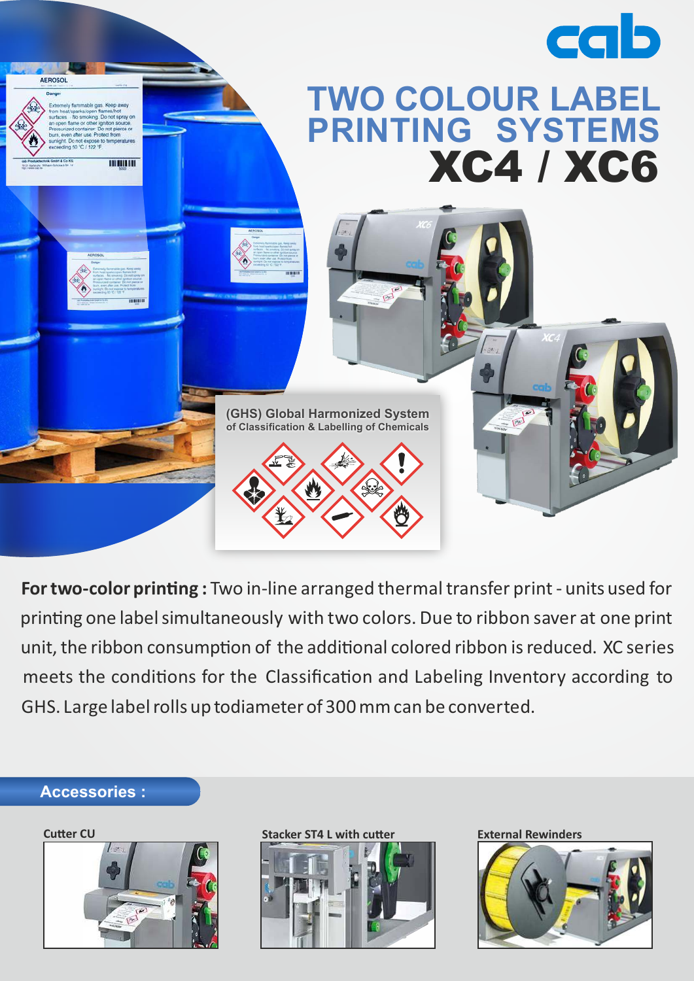

For two-color printing : Two in-line arranged thermal transfer print - units used for printing one label simultaneously with two colors. Due to ribbon saver at one print unit, the ribbon consumption of the additional colored ribbon is reduced. XC series meets the conditions for the Classification and Labeling Inventory according to GHS. Large label rolls up todiameter of 300 mm can be converted.

## **Accessories :**